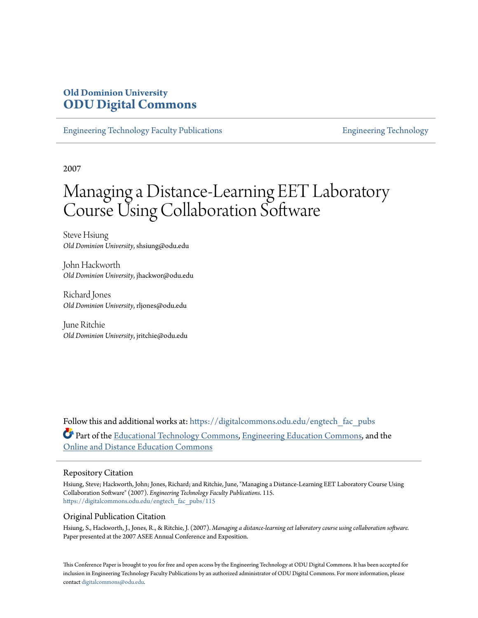# **Old Dominion University [ODU Digital Commons](https://digitalcommons.odu.edu?utm_source=digitalcommons.odu.edu%2Fengtech_fac_pubs%2F115&utm_medium=PDF&utm_campaign=PDFCoverPages)**

[Engineering Technology Faculty Publications](https://digitalcommons.odu.edu/engtech_fac_pubs?utm_source=digitalcommons.odu.edu%2Fengtech_fac_pubs%2F115&utm_medium=PDF&utm_campaign=PDFCoverPages) [Engineering Technology](https://digitalcommons.odu.edu/engtech?utm_source=digitalcommons.odu.edu%2Fengtech_fac_pubs%2F115&utm_medium=PDF&utm_campaign=PDFCoverPages)

2007

# Managing a Distance-Learning EET Laboratory Course Using Collaboration Software

Steve Hsiung *Old Dominion University*, shsiung@odu.edu

John Hackworth *Old Dominion University*, jhackwor@odu.edu

Richard Jones *Old Dominion University*, rljones@odu.edu

June Ritchie *Old Dominion University*, jritchie@odu.edu

Follow this and additional works at: [https://digitalcommons.odu.edu/engtech\\_fac\\_pubs](https://digitalcommons.odu.edu/engtech_fac_pubs?utm_source=digitalcommons.odu.edu%2Fengtech_fac_pubs%2F115&utm_medium=PDF&utm_campaign=PDFCoverPages) Part of the [Educational Technology Commons](http://network.bepress.com/hgg/discipline/1415?utm_source=digitalcommons.odu.edu%2Fengtech_fac_pubs%2F115&utm_medium=PDF&utm_campaign=PDFCoverPages), [Engineering Education Commons,](http://network.bepress.com/hgg/discipline/1191?utm_source=digitalcommons.odu.edu%2Fengtech_fac_pubs%2F115&utm_medium=PDF&utm_campaign=PDFCoverPages) and the [Online and Distance Education Commons](http://network.bepress.com/hgg/discipline/1296?utm_source=digitalcommons.odu.edu%2Fengtech_fac_pubs%2F115&utm_medium=PDF&utm_campaign=PDFCoverPages)

#### Repository Citation

Hsiung, Steve; Hackworth, John; Jones, Richard; and Ritchie, June, "Managing a Distance-Learning EET Laboratory Course Using Collaboration Software" (2007). *Engineering Technology Faculty Publications*. 115. [https://digitalcommons.odu.edu/engtech\\_fac\\_pubs/115](https://digitalcommons.odu.edu/engtech_fac_pubs/115?utm_source=digitalcommons.odu.edu%2Fengtech_fac_pubs%2F115&utm_medium=PDF&utm_campaign=PDFCoverPages)

#### Original Publication Citation

Hsiung, S., Hackworth, J., Jones, R., & Ritchie, J. (2007). *Managing a distance-learning eet laboratory course using collaboration software.* Paper presented at the 2007 ASEE Annual Conference and Exposition.

This Conference Paper is brought to you for free and open access by the Engineering Technology at ODU Digital Commons. It has been accepted for inclusion in Engineering Technology Faculty Publications by an authorized administrator of ODU Digital Commons. For more information, please contact [digitalcommons@odu.edu](mailto:digitalcommons@odu.edu).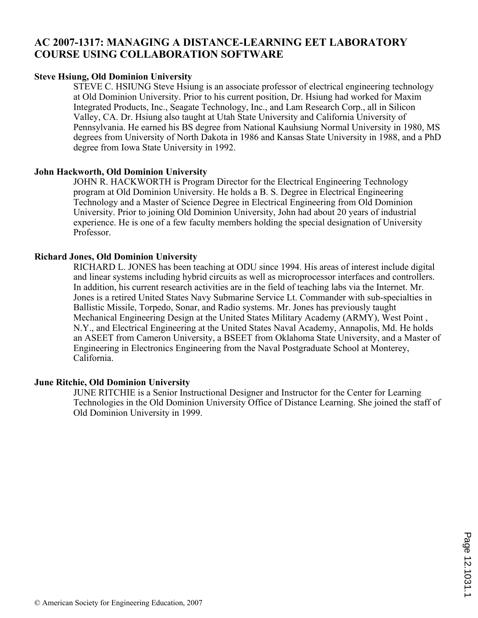## **AC 2007-1317: MANAGING A DISTANCE-LEARNING EET LABORATORY COURSE USING COLLABORATION SOFTWARE**

#### **Steve Hsiung, Old Dominion University**

STEVE C. HSIUNG Steve Hsiung is an associate professor of electrical engineering technology at Old Dominion University. Prior to his current position, Dr. Hsiung had worked for Maxim Integrated Products, Inc., Seagate Technology, Inc., and Lam Research Corp., all in Silicon Valley, CA. Dr. Hsiung also taught at Utah State University and California University of Pennsylvania. He earned his BS degree from National Kauhsiung Normal University in 1980, MS degrees from University of North Dakota in 1986 and Kansas State University in 1988, and a PhD degree from Iowa State University in 1992.

#### **John Hackworth, Old Dominion University**

JOHN R. HACKWORTH is Program Director for the Electrical Engineering Technology program at Old Dominion University. He holds a B. S. Degree in Electrical Engineering Technology and a Master of Science Degree in Electrical Engineering from Old Dominion University. Prior to joining Old Dominion University, John had about 20 years of industrial experience. He is one of a few faculty members holding the special designation of University Professor.

#### **Richard Jones, Old Dominion University**

RICHARD L. JONES has been teaching at ODU since 1994. His areas of interest include digital and linear systems including hybrid circuits as well as microprocessor interfaces and controllers. In addition, his current research activities are in the field of teaching labs via the Internet. Mr. Jones is a retired United States Navy Submarine Service Lt. Commander with sub-specialties in Ballistic Missile, Torpedo, Sonar, and Radio systems. Mr. Jones has previously taught Mechanical Engineering Design at the United States Military Academy (ARMY), West Point , N.Y., and Electrical Engineering at the United States Naval Academy, Annapolis, Md. He holds an ASEET from Cameron University, a BSEET from Oklahoma State University, and a Master of Engineering in Electronics Engineering from the Naval Postgraduate School at Monterey, California.

#### **June Ritchie, Old Dominion University**

JUNE RITCHIE is a Senior Instructional Designer and Instructor for the Center for Learning Technologies in the Old Dominion University Office of Distance Learning. She joined the staff of Old Dominion University in 1999.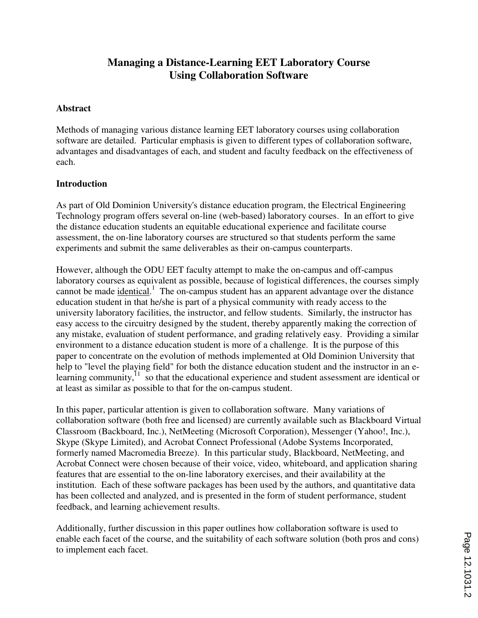# **Managing a Distance-Learning EET Laboratory Course Using Collaboration Software**

#### **Abstract**

Methods of managing various distance learning EET laboratory courses using collaboration software are detailed. Particular emphasis is given to different types of collaboration software, advantages and disadvantages of each, and student and faculty feedback on the effectiveness of each.

#### **Introduction**

As part of Old Dominion University's distance education program, the Electrical Engineering Technology program offers several on-line (web-based) laboratory courses. In an effort to give the distance education students an equitable educational experience and facilitate course assessment, the on-line laboratory courses are structured so that students perform the same experiments and submit the same deliverables as their on-campus counterparts.

However, although the ODU EET faculty attempt to make the on-campus and off-campus laboratory courses as equivalent as possible, because of logistical differences, the courses simply cannot be made *identical*.<sup>1</sup> The on-campus student has an apparent advantage over the distance education student in that he/she is part of a physical community with ready access to the university laboratory facilities, the instructor, and fellow students. Similarly, the instructor has easy access to the circuitry designed by the student, thereby apparently making the correction of any mistake, evaluation of student performance, and grading relatively easy. Providing a similar environment to a distance education student is more of a challenge. It is the purpose of this paper to concentrate on the evolution of methods implemented at Old Dominion University that help to "level the playing field" for both the distance education student and the instructor in an elearning community, $\frac{11}{11}$  so that the educational experience and student assessment are identical or at least as similar as possible to that for the on-campus student.

In this paper, particular attention is given to collaboration software. Many variations of collaboration software (both free and licensed) are currently available such as Blackboard Virtual Classroom (Backboard, Inc.), NetMeeting (Microsoft Corporation), Messenger (Yahoo!, Inc.), Skype (Skype Limited), and Acrobat Connect Professional (Adobe Systems Incorporated, formerly named Macromedia Breeze). In this particular study, Blackboard, NetMeeting, and Acrobat Connect were chosen because of their voice, video, whiteboard, and application sharing features that are essential to the on-line laboratory exercises, and their availability at the institution. Each of these software packages has been used by the authors, and quantitative data has been collected and analyzed, and is presented in the form of student performance, student feedback, and learning achievement results.

Additionally, further discussion in this paper outlines how collaboration software is used to enable each facet of the course, and the suitability of each software solution (both pros and cons) to implement each facet.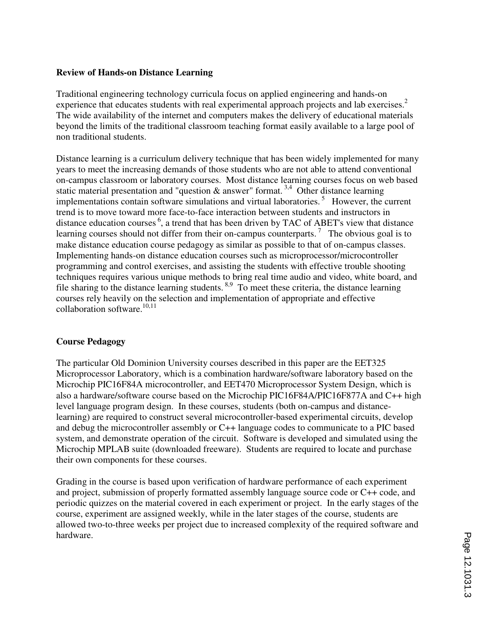#### **Review of Hands-on Distance Learning**

Traditional engineering technology curricula focus on applied engineering and hands-on experience that educates students with real experimental approach projects and lab exercises.<sup>2</sup> The wide availability of the internet and computers makes the delivery of educational materials beyond the limits of the traditional classroom teaching format easily available to a large pool of non traditional students.

Distance learning is a curriculum delivery technique that has been widely implemented for many years to meet the increasing demands of those students who are not able to attend conventional on-campus classroom or laboratory courses. Most distance learning courses focus on web based static material presentation and "question  $\&$  answer" format.<sup>3,4</sup> Other distance learning implementations contain software simulations and virtual laboratories.<sup>5</sup> However, the current trend is to move toward more face-to-face interaction between students and instructors in distance education courses  $6$ , a trend that has been driven by TAC of ABET's view that distance learning courses should not differ from their on-campus counterparts.<sup>7</sup> The obvious goal is to make distance education course pedagogy as similar as possible to that of on-campus classes. Implementing hands-on distance education courses such as microprocessor/microcontroller programming and control exercises, and assisting the students with effective trouble shooting techniques requires various unique methods to bring real time audio and video, white board, and file sharing to the distance learning students.<sup>8,9</sup> To meet these criteria, the distance learning courses rely heavily on the selection and implementation of appropriate and effective collaboration software. $10,11$ 

## **Course Pedagogy**

The particular Old Dominion University courses described in this paper are the EET325 Microprocessor Laboratory, which is a combination hardware/software laboratory based on the Microchip PIC16F84A microcontroller, and EET470 Microprocessor System Design, which is also a hardware/software course based on the Microchip PIC16F84A/PIC16F877A and C++ high level language program design. In these courses, students (both on-campus and distancelearning) are required to construct several microcontroller-based experimental circuits, develop and debug the microcontroller assembly or C++ language codes to communicate to a PIC based system, and demonstrate operation of the circuit. Software is developed and simulated using the Microchip MPLAB suite (downloaded freeware). Students are required to locate and purchase their own components for these courses.

Grading in the course is based upon verification of hardware performance of each experiment and project, submission of properly formatted assembly language source code or C++ code, and periodic quizzes on the material covered in each experiment or project. In the early stages of the course, experiment are assigned weekly, while in the later stages of the course, students are allowed two-to-three weeks per project due to increased complexity of the required software and hardware.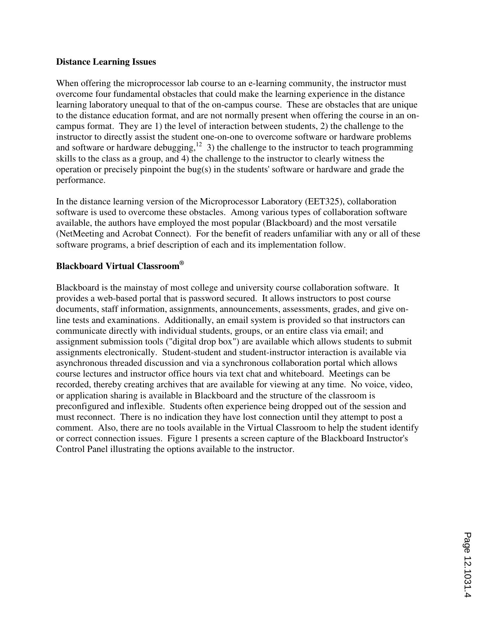#### **Distance Learning Issues**

When offering the microprocessor lab course to an e-learning community, the instructor must overcome four fundamental obstacles that could make the learning experience in the distance learning laboratory unequal to that of the on-campus course. These are obstacles that are unique to the distance education format, and are not normally present when offering the course in an oncampus format. They are 1) the level of interaction between students, 2) the challenge to the instructor to directly assist the student one-on-one to overcome software or hardware problems and software or hardware debugging, $12$  3) the challenge to the instructor to teach programming skills to the class as a group, and 4) the challenge to the instructor to clearly witness the operation or precisely pinpoint the bug(s) in the students' software or hardware and grade the performance.

In the distance learning version of the Microprocessor Laboratory (EET325), collaboration software is used to overcome these obstacles. Among various types of collaboration software available, the authors have employed the most popular (Blackboard) and the most versatile (NetMeeting and Acrobat Connect). For the benefit of readers unfamiliar with any or all of these software programs, a brief description of each and its implementation follow.

## **Blackboard Virtual Classroom®**

Blackboard is the mainstay of most college and university course collaboration software. It provides a web-based portal that is password secured. It allows instructors to post course documents, staff information, assignments, announcements, assessments, grades, and give online tests and examinations. Additionally, an email system is provided so that instructors can communicate directly with individual students, groups, or an entire class via email; and assignment submission tools ("digital drop box") are available which allows students to submit assignments electronically. Student-student and student-instructor interaction is available via asynchronous threaded discussion and via a synchronous collaboration portal which allows course lectures and instructor office hours via text chat and whiteboard. Meetings can be recorded, thereby creating archives that are available for viewing at any time. No voice, video, or application sharing is available in Blackboard and the structure of the classroom is preconfigured and inflexible. Students often experience being dropped out of the session and must reconnect. There is no indication they have lost connection until they attempt to post a comment. Also, there are no tools available in the Virtual Classroom to help the student identify or correct connection issues. Figure 1 presents a screen capture of the Blackboard Instructor's Control Panel illustrating the options available to the instructor.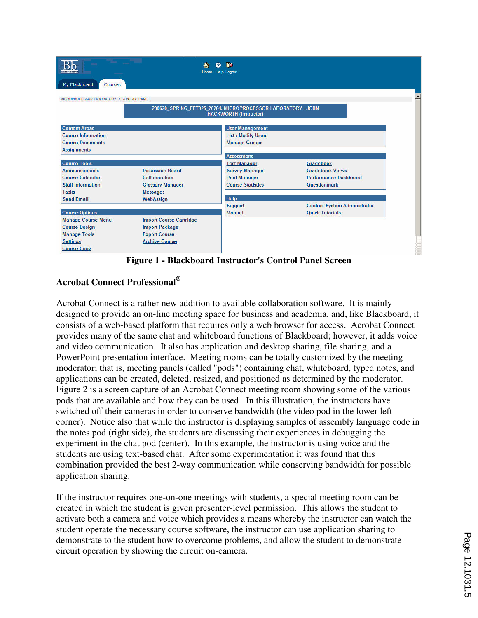

**Figure 1 - Blackboard Instructor's Control Panel Screen** 

## **Acrobat Connect Professional®**

Acrobat Connect is a rather new addition to available collaboration software. It is mainly designed to provide an on-line meeting space for business and academia, and, like Blackboard, it consists of a web-based platform that requires only a web browser for access. Acrobat Connect provides many of the same chat and whiteboard functions of Blackboard; however, it adds voice and video communication. It also has application and desktop sharing, file sharing, and a PowerPoint presentation interface. Meeting rooms can be totally customized by the meeting moderator; that is, meeting panels (called "pods") containing chat, whiteboard, typed notes, and applications can be created, deleted, resized, and positioned as determined by the moderator. Figure 2 is a screen capture of an Acrobat Connect meeting room showing some of the various pods that are available and how they can be used. In this illustration, the instructors have switched off their cameras in order to conserve bandwidth (the video pod in the lower left corner). Notice also that while the instructor is displaying samples of assembly language code in the notes pod (right side), the students are discussing their experiences in debugging the experiment in the chat pod (center). In this example, the instructor is using voice and the students are using text-based chat. After some experimentation it was found that this combination provided the best 2-way communication while conserving bandwidth for possible application sharing.

If the instructor requires one-on-one meetings with students, a special meeting room can be created in which the student is given presenter-level permission. This allows the student to activate both a camera and voice which provides a means whereby the instructor can watch the student operate the necessary course software, the instructor can use application sharing to demonstrate to the student how to overcome problems, and allow the student to demonstrate circuit operation by showing the circuit on-camera.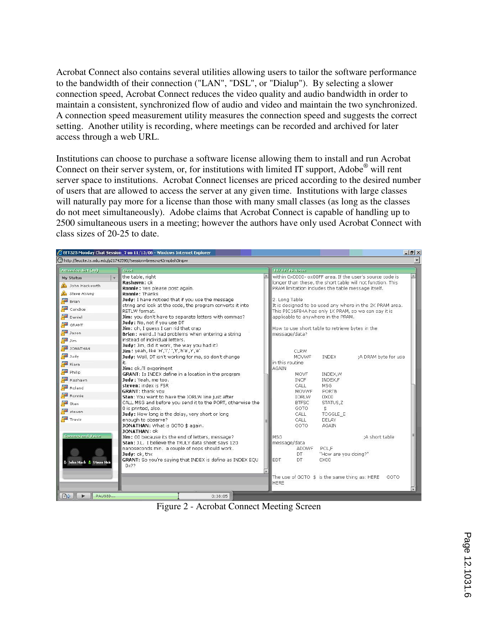Acrobat Connect also contains several utilities allowing users to tailor the software performance to the bandwidth of their connection ("LAN", "DSL", or "Dialup"). By selecting a slower connection speed, Acrobat Connect reduces the video quality and audio bandwidth in order to maintain a consistent, synchronized flow of audio and video and maintain the two synchronized. A connection speed measurement utility measures the connection speed and suggests the correct setting. Another utility is recording, where meetings can be recorded and archived for later access through a web URL.

Institutions can choose to purchase a software license allowing them to install and run Acrobat Connect on their server system, or, for institutions with limited IT support, Adobe® will rent server space to institutions. Acrobat Connect licenses are priced according to the desired number of users that are allowed to access the server at any given time. Institutions with large classes will naturally pay more for a license than those with many small classes (as long as the classes do not meet simultaneously). Adobe claims that Acrobat Connect is capable of handling up to 2500 simultaneous users in a meeting; however the authors have only used Acrobat Connect with class sizes of 20-25 to date.



Figure 2 - Acrobat Connect Meeting Screen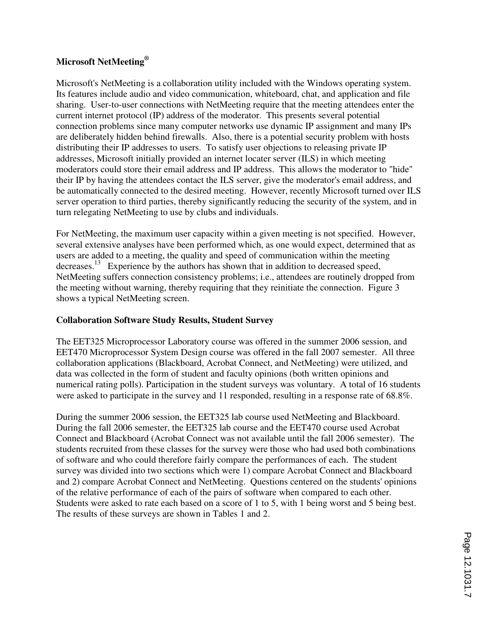## **Microsoft NetMeeting®**

Microsoft's NetMeeting is a collaboration utility included with the Windows operating system. Its features include audio and video communication, whiteboard, chat, and application and file sharing. User-to-user connections with NetMeeting require that the meeting attendees enter the current internet protocol (IP) address of the moderator. This presents several potential connection problems since many computer networks use dynamic IP assignment and many IPs are deliberately hidden behind firewalls. Also, there is a potential security problem with hosts distributing their IP addresses to users. To satisfy user objections to releasing private IP addresses, Microsoft initially provided an internet locater server (ILS) in which meeting moderators could store their email address and IP address. This allows the moderator to "hide" their IP by having the attendees contact the ILS server, give the moderator's email address, and be automatically connected to the desired meeting. However, recently Microsoft turned over ILS server operation to third parties, thereby significantly reducing the security of the system, and in turn relegating NetMeeting to use by clubs and individuals.

For NetMeeting, the maximum user capacity within a given meeting is not specified. However, several extensive analyses have been performed which, as one would expect, determined that as users are added to a meeting, the quality and speed of communication within the meeting decreases.<sup>13</sup> Experience by the authors has shown that in addition to decreased speed, NetMeeting suffers connection consistency problems; i.e., attendees are routinely dropped from the meeting without warning, thereby requiring that they reinitiate the connection. Figure 3 shows a typical NetMeeting screen.

## **Collaboration Software Study Results, Student Survey**

The EET325 Microprocessor Laboratory course was offered in the summer 2006 session, and EET470 Microprocessor System Design course was offered in the fall 2007 semester. All three collaboration applications (Blackboard, Acrobat Connect, and NetMeeting) were utilized, and data was collected in the form of student and faculty opinions (both written opinions and numerical rating polls). Participation in the student surveys was voluntary. A total of 16 students were asked to participate in the survey and 11 responded, resulting in a response rate of 68.8%.

During the summer 2006 session, the EET325 lab course used NetMeeting and Blackboard. During the fall 2006 semester, the EET325 lab course and the EET470 course used Acrobat Connect and Blackboard (Acrobat Connect was not available until the fall 2006 semester). The students recruited from these classes for the survey were those who had used both combinations of software and who could therefore fairly compare the performances of each. The student survey was divided into two sections which were 1) compare Acrobat Connect and Blackboard and 2) compare Acrobat Connect and NetMeeting. Questions centered on the students' opinions of the relative performance of each of the pairs of software when compared to each other. Students were asked to rate each based on a score of 1 to 5, with 1 being worst and 5 being best. The results of these surveys are shown in Tables 1 and 2.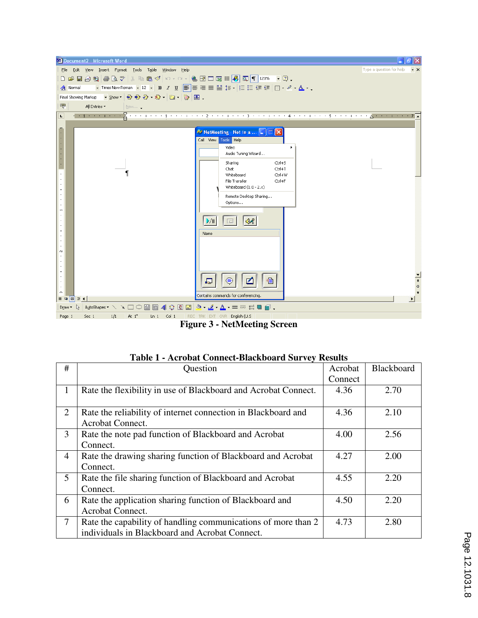

**Figure 3 - NetMeeting Screen** 

| #              | Question                                                       | Acrobat | Blackboard |
|----------------|----------------------------------------------------------------|---------|------------|
|                |                                                                | Connect |            |
| 1              | Rate the flexibility in use of Blackboard and Acrobat Connect. | 4.36    | 2.70       |
|                |                                                                |         |            |
| $\overline{2}$ | Rate the reliability of internet connection in Blackboard and  | 4.36    | 2.10       |
|                | <b>Acrobat Connect.</b>                                        |         |            |
| 3              | Rate the note pad function of Blackboard and Acrobat           | 4.00    | 2.56       |
|                | Connect.                                                       |         |            |
| 4              | Rate the drawing sharing function of Blackboard and Acrobat    | 4.27    | 2.00       |
|                | Connect.                                                       |         |            |
| 5              | Rate the file sharing function of Blackboard and Acrobat       | 4.55    | 2.20       |
|                | Connect.                                                       |         |            |
| 6              | Rate the application sharing function of Blackboard and        | 4.50    | 2.20       |
|                | Acrobat Connect.                                               |         |            |
| 7              | Rate the capability of handling communications of more than 2  | 4.73    | 2.80       |
|                | individuals in Blackboard and Acrobat Connect.                 |         |            |

|  | <b>Table 1 - Acrobat Connect-Blackboard Survey Results</b> |  |
|--|------------------------------------------------------------|--|
|  |                                                            |  |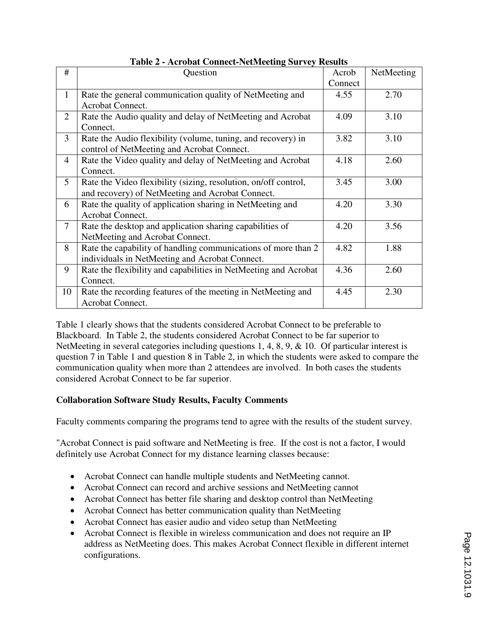| #                        | Question                                                        | Acrob   | NetMeeting |
|--------------------------|-----------------------------------------------------------------|---------|------------|
|                          |                                                                 | Connect |            |
| $\mathbf{1}$             | Rate the general communication quality of NetMeeting and        | 4.55    | 2.70       |
|                          | Acrobat Connect.                                                |         |            |
| $\overline{2}$           | Rate the Audio quality and delay of NetMeeting and Acrobat      | 4.09    | 3.10       |
|                          | Connect.                                                        |         |            |
| 3                        | Rate the Audio flexibility (volume, tuning, and recovery) in    | 3.82    | 3.10       |
|                          | control of NetMeeting and Acrobat Connect.                      |         |            |
| $\overline{4}$           | Rate the Video quality and delay of NetMeeting and Acrobat      | 4.18    | 2.60       |
|                          | Connect.                                                        |         |            |
| 5                        | Rate the Video flexibility (sizing, resolution, on/off control, | 3.45    | 3.00       |
|                          | and recovery) of NetMeeting and Acrobat Connect.                |         |            |
| 6                        | Rate the quality of application sharing in NetMeeting and       | 4.20    | 3.30       |
|                          | Acrobat Connect.                                                |         |            |
| $\overline{\mathcal{L}}$ | Rate the desktop and application sharing capabilities of        | 4.20    | 3.56       |
|                          | NetMeeting and Acrobat Connect.                                 |         |            |
| 8                        | Rate the capability of handling communications of more than 2   | 4.82    | 1.88       |
|                          | individuals in NetMeeting and Acrobat Connect.                  |         |            |
| 9                        | Rate the flexibility and capabilities in NetMeeting and Acrobat | 4.36    | 2.60       |
|                          | Connect.                                                        |         |            |
| 10                       | Rate the recording features of the meeting in NetMeeting and    | 4.45    | 2.30       |
|                          | Acrobat Connect.                                                |         |            |

**Table 2 - Acrobat Connect-NetMeeting Survey Results** 

Table 1 clearly shows that the students considered Acrobat Connect to be preferable to Blackboard. In Table 2, the students considered Acrobat Connect to be far superior to NetMeeting in several categories including questions 1, 4, 8, 9, & 10. Of particular interest is question 7 in Table 1 and question 8 in Table 2, in which the students were asked to compare the communication quality when more than 2 attendees are involved. In both cases the students considered Acrobat Connect to be far superior.

## **Collaboration Software Study Results, Faculty Comments**

Faculty comments comparing the programs tend to agree with the results of the student survey.

"Acrobat Connect is paid software and NetMeeting is free. If the cost is not a factor, I would definitely use Acrobat Connect for my distance learning classes because:

- Acrobat Connect can handle multiple students and NetMeeting cannot.
- Acrobat Connect can record and archive sessions and NetMeeting cannot
- Acrobat Connect has better file sharing and desktop control than NetMeeting
- Acrobat Connect has better communication quality than NetMeeting
- Acrobat Connect has easier audio and video setup than NetMeeting
- Acrobat Connect is flexible in wireless communication and does not require an IP address as NetMeeting does. This makes Acrobat Connect flexible in different internet configurations.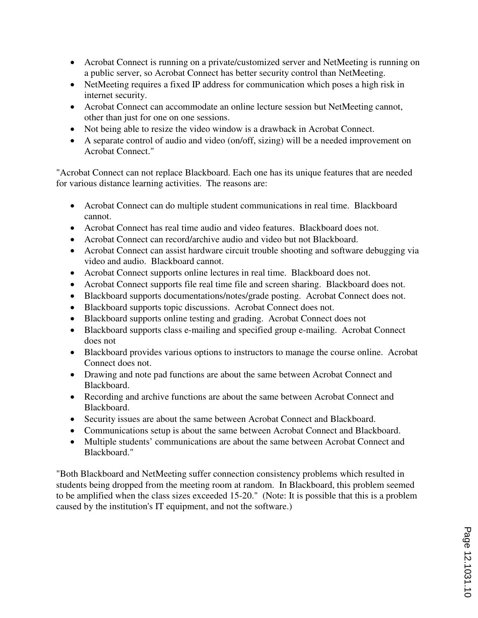- Acrobat Connect is running on a private/customized server and NetMeeting is running on a public server, so Acrobat Connect has better security control than NetMeeting.
- NetMeeting requires a fixed IP address for communication which poses a high risk in internet security.
- Acrobat Connect can accommodate an online lecture session but NetMeeting cannot, other than just for one on one sessions.
- Not being able to resize the video window is a drawback in Acrobat Connect.
- A separate control of audio and video (on/off, sizing) will be a needed improvement on Acrobat Connect."

"Acrobat Connect can not replace Blackboard. Each one has its unique features that are needed for various distance learning activities. The reasons are:

- Acrobat Connect can do multiple student communications in real time. Blackboard cannot.
- Acrobat Connect has real time audio and video features. Blackboard does not.
- Acrobat Connect can record/archive audio and video but not Blackboard.
- Acrobat Connect can assist hardware circuit trouble shooting and software debugging via video and audio. Blackboard cannot.
- Acrobat Connect supports online lectures in real time. Blackboard does not.
- Acrobat Connect supports file real time file and screen sharing. Blackboard does not.
- Blackboard supports documentations/notes/grade posting. Acrobat Connect does not.
- Blackboard supports topic discussions. Acrobat Connect does not.
- Blackboard supports online testing and grading. Acrobat Connect does not
- Blackboard supports class e-mailing and specified group e-mailing. Acrobat Connect does not
- Blackboard provides various options to instructors to manage the course online. Acrobat Connect does not.
- Drawing and note pad functions are about the same between Acrobat Connect and Blackboard.
- Recording and archive functions are about the same between Acrobat Connect and Blackboard.
- Security issues are about the same between Acrobat Connect and Blackboard.
- Communications setup is about the same between Acrobat Connect and Blackboard.
- Multiple students' communications are about the same between Acrobat Connect and Blackboard."

"Both Blackboard and NetMeeting suffer connection consistency problems which resulted in students being dropped from the meeting room at random. In Blackboard, this problem seemed to be amplified when the class sizes exceeded 15-20." (Note: It is possible that this is a problem caused by the institution's IT equipment, and not the software.)